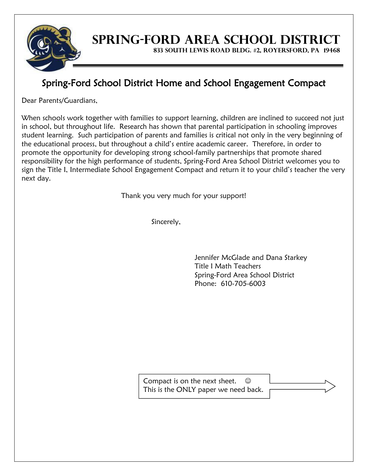

## **SPRING-FORD AREA SCHOOL DISTRICT**

**833 SOUTH LEWIS ROAD BLDG. #2, ROYERSFORD, PA 19468**

### Spring-Ford School District Home and School Engagement Compact

Dear Parents/Guardians,

When schools work together with families to support learning, children are inclined to succeed not just in school, but throughout life. Research has shown that parental participation in schooling improves student learning. Such participation of parents and families is critical not only in the very beginning of the educational process, but throughout a child's entire academic career. Therefore, in order to promote the opportunity for developing strong school-family partnerships that promote shared responsibility for the high performance of students, Spring-Ford Area School District welcomes you to sign the Title I, Intermediate School Engagement Compact and return it to your child's teacher the very next day.

Thank you very much for your support!

Sincerely,

Jennifer McGlade and Dana Starkey Title I Math Teachers Spring-Ford Area School District Phone: 610-705-6003

Compact is on the next sheet.  $\odot$ This is the ONLY paper we need back.

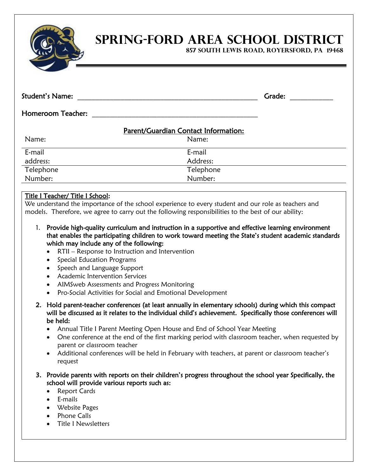

# **SPRING-FORD AREA SCHOOL DISTRICT**

**857 SOUTH LEWIS ROAD, ROYERSFORD, PA 19468**

| Student's Name:                                                                                                                                                                                 | Grade:                                                                                                                                                                                                      |
|-------------------------------------------------------------------------------------------------------------------------------------------------------------------------------------------------|-------------------------------------------------------------------------------------------------------------------------------------------------------------------------------------------------------------|
| <b>Homeroom Teacher:</b>                                                                                                                                                                        |                                                                                                                                                                                                             |
| Parent/Guardian Contact Information:                                                                                                                                                            |                                                                                                                                                                                                             |
| Name:                                                                                                                                                                                           | Name:                                                                                                                                                                                                       |
| E-mail                                                                                                                                                                                          | E-mail                                                                                                                                                                                                      |
| address:                                                                                                                                                                                        | Address:                                                                                                                                                                                                    |
| Telephone                                                                                                                                                                                       | Telephone                                                                                                                                                                                                   |
| Number:                                                                                                                                                                                         | Number:                                                                                                                                                                                                     |
| Title I Teacher/ Title I School:                                                                                                                                                                | We understand the importance of the school experience to every student and our role as teachers and<br>models. Therefore, we agree to carry out the following responsibilities to the best of our ability:  |
| 1.<br>which may include any of the following:<br>RTII - Response to Instruction and Intervention<br>Special Education Programs<br>Speech and Language Support<br>Academic Intervention Services | Provide high-quality curriculum and instruction in a supportive and effective learning environment<br>that enables the participating children to work toward meeting the State's student academic standards |

- AIMSweb Assessments and Progress Monitoring
- Pro-Social Activities for Social and Emotional Development
- 2. Hold parent-teacher conferences (at least annually in elementary schools) during which this compact will be discussed as it relates to the individual child's achievement. Specifically those conferences will be held:
	- Annual Title I Parent Meeting Open House and End of School Year Meeting
	- One conference at the end of the first marking period with classroom teacher, when requested by parent or classroom teacher
	- Additional conferences will be held in February with teachers, at parent or classroom teacher's request
- 3. Provide parents with reports on their children's progress throughout the school year Specifically, the school will provide various reports such as:
	- Report Cards
	- E-mails
	- Website Pages
	- Phone Calls
	- Title I Newsletters